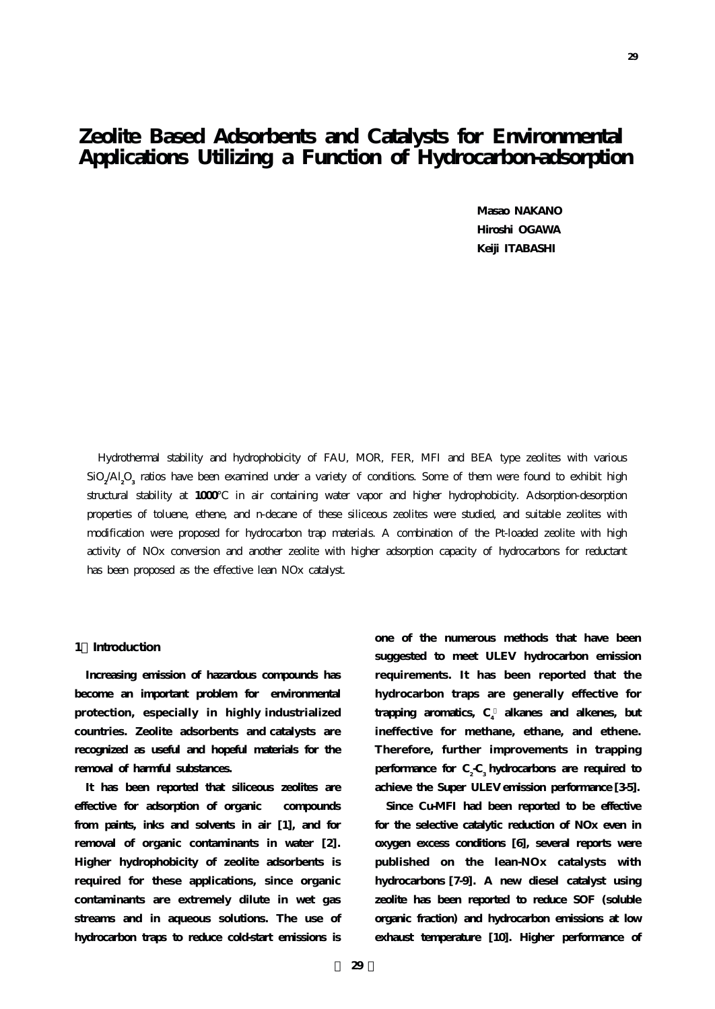**Masao NAKANO Hiroshi OGAWA Keiji ITABASHI**

Hydrothermal stability and hydrophobicity of FAU, MOR, FER, MFI and BEA type zeolites with various SiO**<sup>2</sup>** /Al**<sup>2</sup>** O**<sup>3</sup>** ratios have been examined under a variety of conditions. Some of them were found to exhibit high structural stability at **1000** in air containing water vapor and higher hydrophobicity. Adsorption-desorption properties of toluene, ethene, and n-decane of these siliceous zeolites were studied, and suitable zeolites with modification were proposed for hydrocarbon trap materials. A combination of the Pt-loaded zeolite with high activity of NOx conversion and another zeolite with higher adsorption capacity of hydrocarbons for reductant has been proposed as the effective lean NOx catalyst.

## **1.Introduction**

**Increasing emission of hazardous compounds has become an important problem for environmental protection, especially in highly industrialized countries. Zeolite adsorbents and catalysts are recognized as useful and hopeful materials for the removal of harmful substances.**

**It has been reported that siliceous zeolites are effective for adsorption of organic compounds from paints, inks and solvents in air [1], and for removal of organic contaminants in water [2]. Higher hydrophobicity of zeolite adsorbents is required for these applications, since organic contaminants are extremely dilute in wet gas streams and in aqueous solutions. The use of hydrocarbon traps to reduce cold-start emissions is**

**one of the numerous methods that have been suggested to meet ULEV hydrocarbon emission requirements. It has been reported that the hydrocarbon traps are generally effective for** trapping aromatics, C<sub>4</sub> alkanes and alkenes, but **ineffective for methane, ethane, and ethene. Therefore, further improvements in trapping** performance for C<sub>2</sub>-C<sub>3</sub> hydrocarbons are required to **achieve the Super ULEV emission performance [3-5].**

**Since Cu-MFI had been reported to be effective for the selective catalytic reduction of NOx even in oxygen excess conditions [6], several reports were published on the lean-NOx catalysts with hydrocarbons [7-9]. A new diesel catalyst using zeolite has been reported to reduce SOF (soluble organic fraction) and hydrocarbon emissions at low exhaust temperature [10]. Higher performance of**

**29**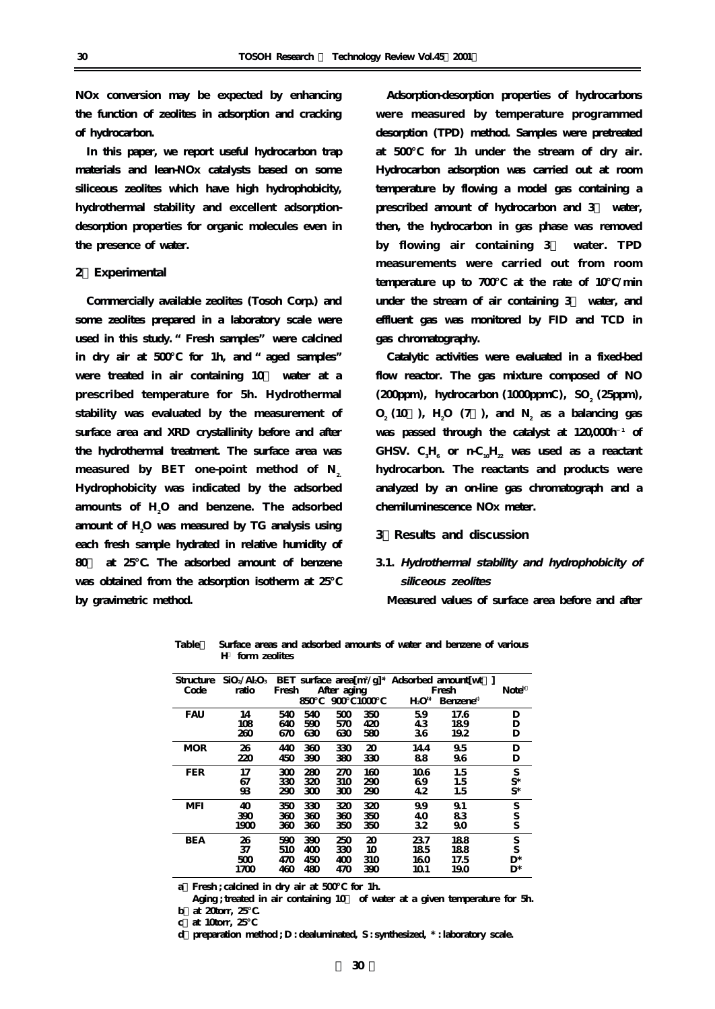**NOx conversion may be expected by enhancing the function of zeolites in adsorption and cracking of hydrocarbon.**

**In this paper, we report useful hydrocarbon trap materials and lean-NOx catalysts based on some siliceous zeolites which have high hydrophobicity, hydrothermal stability and excellent adsorptiondesorption properties for organic molecules even in the presence of water.**

#### **2.Experimental**

**Commercially available zeolites (Tosoh Corp.) and some zeolites prepared in a laboratory scale were used in this study. "Fresh samples" were calcined in dry air at 500℃ for 1h, and "aged samples"** were treated in air containing 10 water at a **prescribed temperature for 5h. Hydrothermal stability was evaluated by the measurement of surface area and XRD crystallinity before and after the hydrothermal treatment. The surface area was** measured by BET one-point method of N<sub>2</sub>. **Hydrophobicity was indicated by the adsorbed** amounts of H<sub>2</sub>O and benzene. The adsorbed **amount of H2 O was measured by TG analysis using each fresh sample hydrated in relative humidity of 80% at 25℃. The adsorbed amount of benzene** was obtained from the adsorption isotherm at 25 **by gravimetric method.**

**Adsorption-desorption properties of hydrocarbons were measured by temperature programmed desorption (TPD) method. Samples were pretreated at 500℃ for 1h under the stream of dry air. Hydrocarbon adsorption was carried out at room temperature by flowing a model gas containing a prescribed amount of hydrocarbon and 3% water, then, the hydrocarbon in gas phase was removed by flowing air containing 3% water. TPD measurements were carried out from room temperature up to 700℃ at the rate of 10℃/min** under the stream of air containing 3 water, and **effluent gas was monitored by FID and TCD in gas chromatography.**

**Catalytic activities were evaluated in a fixed-bed flow reactor. The gas mixture composed of NO (200pm)**, hydrocarbon (1000ppmC), SO<sub>2</sub> (25ppm),  $O_2$  (10 ),  $H_2$ <sup>O</sup> (7 ), and  $N_2$  as a balancing gas was passed through the catalyst at  $120,000$ h<sup>1</sup> of GHSV.  $\mathrm{C_{3}H_{6}^{\phantom{1}}}$  or  $\mathrm{nC_{10}H_{22}^{\phantom{1}}}$  was used as a reactant **hydrocarbon. The reactants and products were analyzed by an on-line gas chromatograph and a chemiluminescence NOx meter.**

**3.Results and discussion**

# **3.1. Hydrothermal stability and hydrophobicity of siliceous zeolites**

**Measured values of surface area before and after**

| Structure  | $SiO_2/Al_2O_3$ | BET surface area $[m^2/g]^3$ Adsorbed amount wt |     |     |       |         |                       |       |
|------------|-----------------|-------------------------------------------------|-----|-----|-------|---------|-----------------------|-------|
| Code       | ratio           | After aging<br>Fresh                            |     |     | Fresh |         | Noteb                 |       |
|            |                 |                                                 | 850 | 900 | 1000  | $H_2Op$ | Benzene <sup>c)</sup> |       |
| <b>FAU</b> | 14              | 540                                             | 540 | 500 | 350   | 59      | 17.6                  | D     |
|            | 108             | 640                                             | 590 | 570 | 420   | 43      | 189                   | D     |
|            | 260             | 670                                             | 630 | 630 | 580   | 36      | 192                   | D     |
| <b>MOR</b> | 26              | 440                                             | 360 | 330 | 20    | 144     | 95                    | D     |
|            | 220             | 450                                             | 390 | 380 | 330   | 88      | 96                    | D     |
| <b>FER</b> | 17              | 300                                             | 280 | 270 | 160   | 106     | 1.5                   | S     |
|            | 67              | 330                                             | 320 | 310 | 290   | 69      | 1.5                   | $S^*$ |
|            | 93              | 290                                             | 300 | 300 | 290   | 42      | 1.5                   | $S^*$ |
| MFI        | 40              | 350                                             | 330 | 320 | 320   | 99      | 91                    | S     |
|            | 390             | 360                                             | 360 | 360 | 350   | 40      | 83                    | S     |
|            | 1900            | 360                                             | 360 | 350 | 350   | 32      | 90                    | S     |
| <b>BEA</b> | 26              | 590                                             | 390 | 250 | 20    | 237     | 188                   | S     |
|            | 37              | 510                                             | 400 | 330 | 10    | 185     | 188                   | S     |
|            | 500             | 470                                             | 450 | 400 | 310   | 160     | 17.5                  | D*    |
|            | 1700            | 460                                             | 480 | 470 | 390   | 10 1    | 190                   | D*    |

**Table1 Surface areas and adsorbed amounts of water and benzene of various H form zeolites**

**a)Fresh ; calcined in dry air at 500℃ for 1h.** 

Aging; treated in air containing 10 of water at a given temperature for 5h. **b** at 20torr, 25

**c)at 10torr, 25℃** 

**d)preparation method ; D : dealuminated, S : synthesized, \* : laboratory scale.**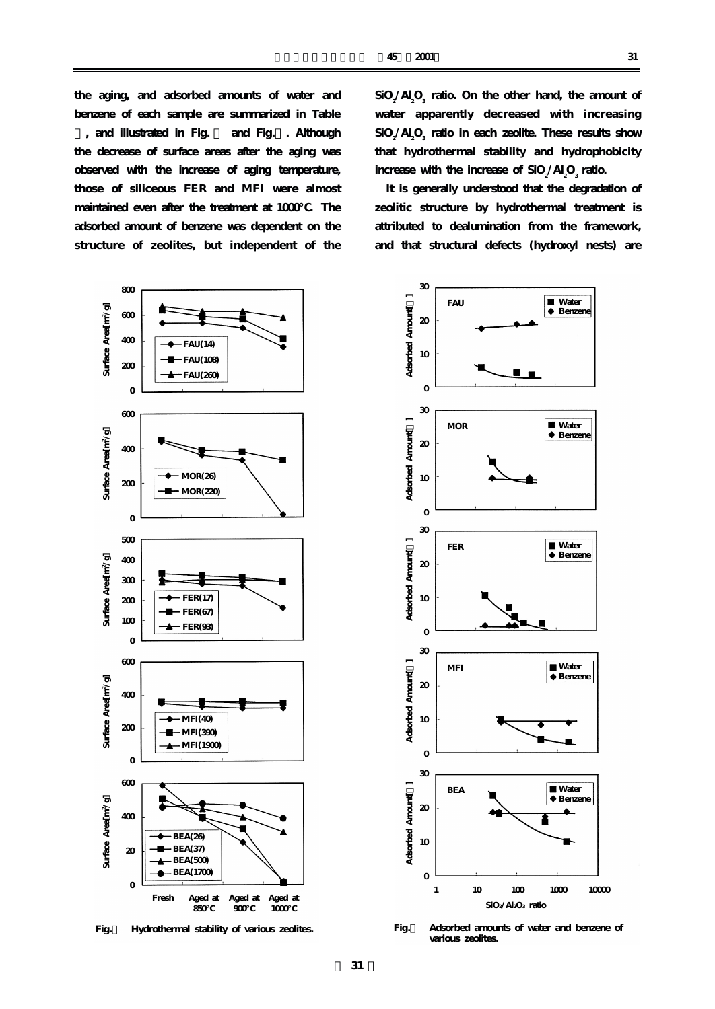**the aging, and adsorbed amounts of water and benzene of each sample are summarized in Table , and illustrated in Fig. 1 and Fig.2. Although the decrease of surface areas after the aging was observed with the increase of aging temperature, those of siliceous FER and MFI were almost maintained even after the treatment at 1000℃. The adsorbed amount of benzene was dependent on the structure of zeolites, but independent of the**



**Fig.1 Hydrothermal stability of various zeolites.**

 $\rm SiO_2/Al_2O_3$  ratio. On the other hand, the amount of **water apparently decreased with increasing**  $\rm SiO_2/Al_2O_3$  ratio in each zeolite. These results show **that hydrothermal stability and hydrophobicity** increase with the increase of  $SiO_2 / Al_2O_3$  ratio.

**It is generally understood that the degradation of zeolitic structure by hydrothermal treatment is attributed to dealumination from the framework, and that structural defects (hydroxyl nests) are**



**Fig.2 Adsorbed amounts of water and benzene of various zeolites.**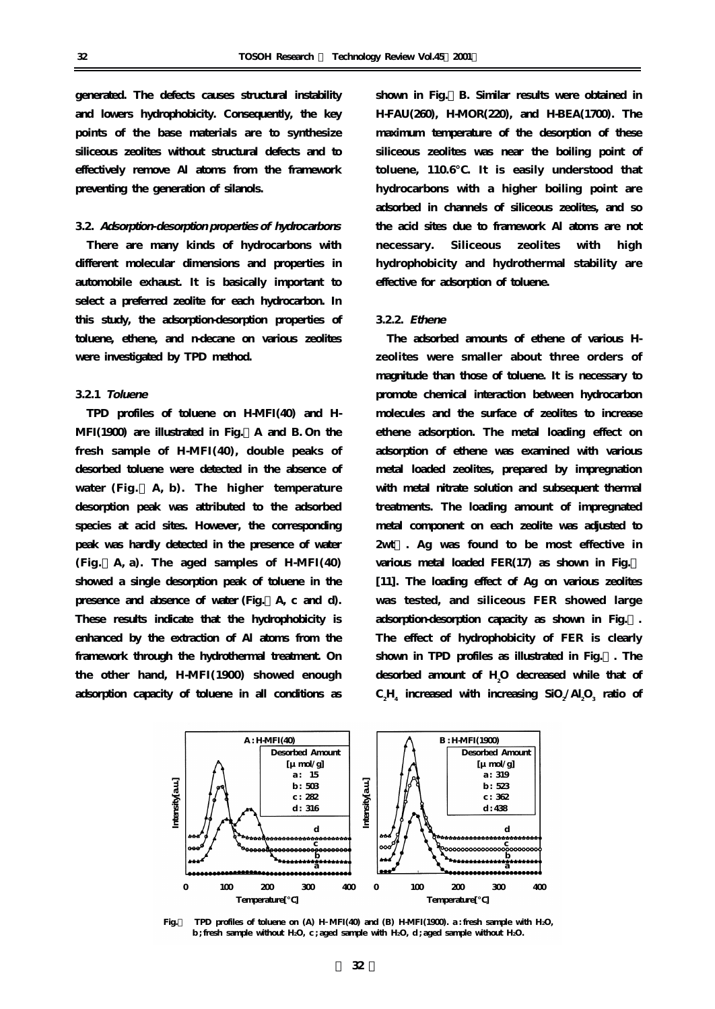**generated. The defects causes structural instability and lowers hydrophobicity. Consequently, the key points of the base materials are to synthesize siliceous zeolites without structural defects and to effectively remove Al atoms from the framework preventing the generation of silanols.**

## **3.2. Adsorption-desorption properties of hydrocarbons**

**There are many kinds of hydrocarbons with different molecular dimensions and properties in automobile exhaust. It is basically important to select a preferred zeolite for each hydrocarbon. In this study, the adsorption-desorption properties of toluene, ethene, and n-decane on various zeolites were investigated by TPD method.**

## **3.2.1 Toluene**

**TPD profiles of toluene on H-MFI(40) and H-MFI(1900) are illustrated in Fig.3A and B. On the fresh sample of H-MFI(40), double peaks of desorbed toluene were detected in the absence of water (Fig.3 A, b). The higher temperature desorption peak was attributed to the adsorbed species at acid sites. However, the corresponding peak was hardly detected in the presence of water (Fig.3A, a). The aged samples of H-MFI(40) showed a single desorption peak of toluene in the presence and absence of water (Fig.3A, c and d). These results indicate that the hydrophobicity is enhanced by the extraction of Al atoms from the framework through the hydrothermal treatment. On the other hand, H-MFI(1900) showed enough adsorption capacity of toluene in all conditions as**

**shown in Fig.3B. Similar results were obtained in H-FAU(260), H-MOR(220), and H-BEA(1700). The maximum temperature of the desorption of these siliceous zeolites was near the boiling point of toluene, 110.6℃. It is easily understood that hydrocarbons with a higher boiling point are adsorbed in channels of siliceous zeolites, and so the acid sites due to framework Al atoms are not necessary. Siliceous zeolites with high hydrophobicity and hydrothermal stability are effective for adsorption of toluene.**

## **3.2.2. Ethene**

**The adsorbed amounts of ethene of various Hzeolites were smaller about three orders of magnitude than those of toluene. It is necessary to promote chemical interaction between hydrocarbon molecules and the surface of zeolites to increase ethene adsorption. The metal loading effect on adsorption of ethene was examined with various metal loaded zeolites, prepared by impregnation with metal nitrate solution and subsequent thermal treatments. The loading amount of impregnated metal component on each zeolite was adjusted to 2wt%. Ag was found to be most effective in** various metal loaded FER(17) as shown in Fig. **[11]. The loading effect of Ag on various zeolites was tested, and siliceous FER showed large adsorption-desorption capacity as shown in Fig.5. The effect of hydrophobicity of FER is clearly shown in TPD profiles as illustrated in Fig.6. The desorbed amount of H2 O decreased while that of**  $\mathrm{C_2H}_4$  increased with increasing  $\mathrm{SiO_2}/\mathrm{Al_2O_3}$  ratio of



**Fig.3 TPD profiles of toluene on (A) H MFI(40) and (B) H-MFI(1900). a : fresh sample with H2O, b ; fresh sample without H2O, c ; aged sample with H2O, d ; aged sample without H2O.**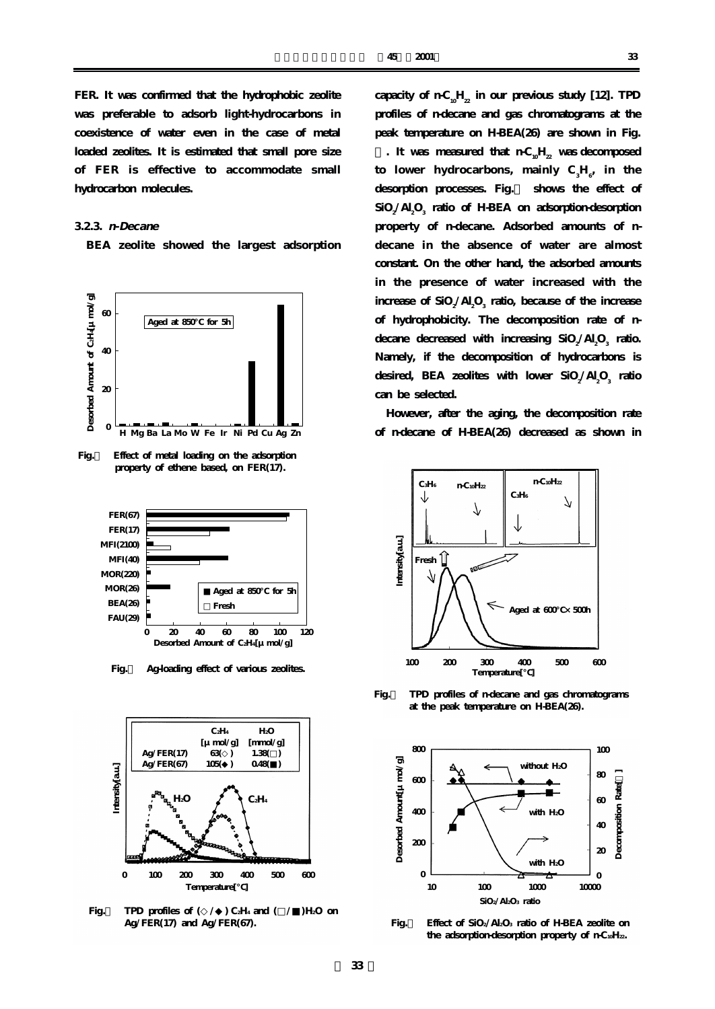**FER. It was confirmed that the hydrophobic zeolite was preferable to adsorb light-hydrocarbons in coexistence of water even in the case of metal loaded zeolites. It is estimated that small pore size of FER is effective to accommodate small hydrocarbon molecules.**

## **3.2.3. n-Decane**

**BEA zeolite showed the largest adsorption**



**Fig.4 Effect of metal loading on the adsorption property of ethene based, on FER(17).** 



**Fig.5 Ag-loading effect of various zeolites.**



Fig. TPD profiles of ( / ) C<sub>2</sub>H<sub>4</sub> and ( / ) H<sub>2</sub>O on  **Ag/FER(17) and Ag/FER(67).** 

capacity of  $nC_0H_2$  in our previous study [12]. TPD **profiles of n-decane and gas chromatograms at the peak temperature on H-BEA(26) are shown in Fig. .** It was measured that  $nC<sub>u</sub>H<sub>2</sub>$  was decomposed  $\text{to}$  lower hydrocarbons, mainly  $\text{C}_{3}\text{H}_{\text{e}^{\prime}}$  in the **desorption processes. Fig.8 shows the effect of**  $\rm SiO_2/Al_2O_3$  ratio of H-BEA on adsorption-desorption **property of n-decane. Adsorbed amounts of ndecane in the absence of water are almost constant. On the other hand, the adsorbed amounts in the presence of water increased with the**  $\frac{1}{2}$  increase of SiO<sub>2</sub>/Al<sub>2</sub>O<sub>3</sub> ratio, because of the increase **of hydrophobicity. The decomposition rate of n-** $\frac{1}{2}$  decreased with increasing  $\frac{1}{2}$   $O_2 / Al_2 O_3$  ratio. **Namely, if the decomposition of hydrocarbons is** desired, BEA zeolites with lower SiO<sub>2</sub>/Al<sub>2</sub>O<sub>3</sub> ratio **can be selected.**

**However, after the aging, the decomposition rate of n-decane of H-BEA(26) decreased as shown in**



**Fig.7 TPD profiles of n-decane and gas chromatograms at the peak temperature on H-BEA(26).** 



**Fig.8 Effect of SiO2/Al2O3 ratio of H-BEA zeolite on**  the adsorption-desorption property of n-C10H<sub>22</sub>.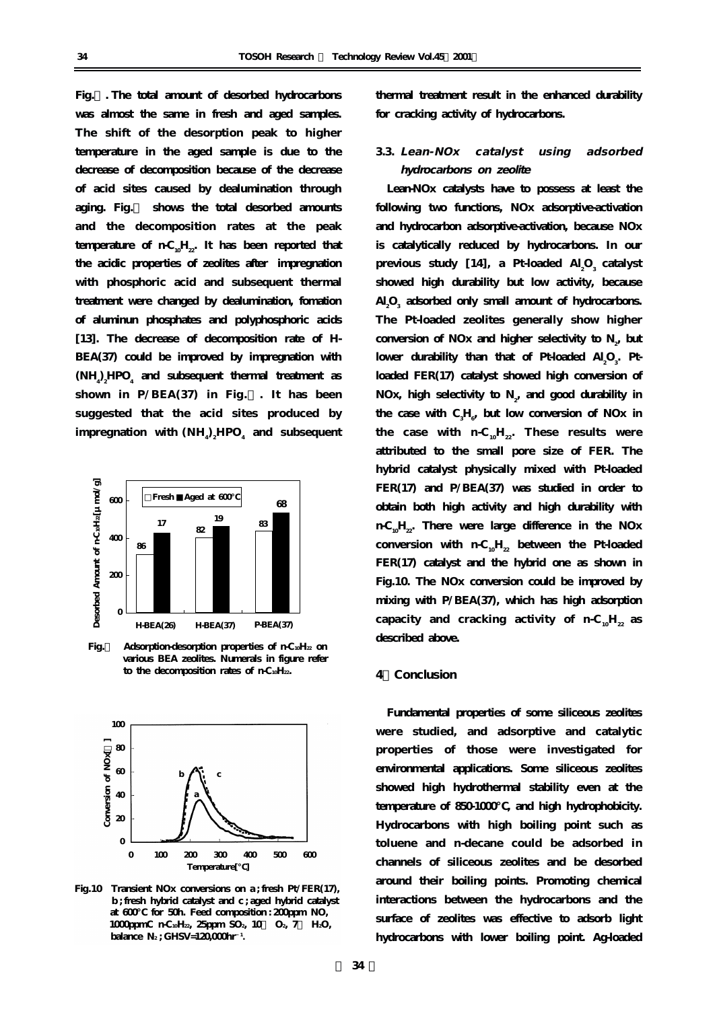**Fig.7. The total amount of desorbed hydrocarbons was almost the same in fresh and aged samples. The shift of the desorption peak to higher temperature in the aged sample is due to the decrease of decomposition because of the decrease of acid sites caused by dealumination through aging. Fig.9 shows the total desorbed amounts and the decomposition rates at the peak** temperature of  $nC_0H_{22}$ . It has been reported that **the acidic properties of zeolites after impregnation with phosphoric acid and subsequent thermal treatment were changed by dealumination, fomation of aluminun phosphates and polyphosphoric acids [13]. The decrease of decomposition rate of H-BEA(37) could be improved by impregnation with**  $(NH)$ <sub>2</sub> $HPO<sub>4</sub>$  and subsequent thermal treatment as shown in  $P/BEA(37)$  in Fig. . It has been **suggested that the acid sites produced by**  $\boldsymbol{\mathrm{im}}$  pregnation with  $(\mathrm{NH}_{4})_{\mathrm{z}}\boldsymbol{\mathrm{H}}\boldsymbol{\mathrm{PO}_{4}}$  and  $\boldsymbol{\mathrm{subsequent}}$ 



Fig. Adsorption-desorption properties of n-C10H<sub>22</sub> on  **various BEA zeolites. Numerals in figure refer**  to the decomposition rates of n-C<sub>10</sub>H<sub>22</sub>.



**Fig.10 Transient NOx conversions on a ; fresh Pt/FER(17), b ; fresh hybrid catalyst and c ; aged hybrid catalyst at 600℃ for 50h. Feed composition : 200ppm NO, 1000pmC** n-C10H<sub>22</sub>, 25ppm SO<sub>2</sub>, 10 O<sub>2</sub>, 7 H2O, **balance N<sub>2</sub>; GHSV=120,000hr**<sup>1</sup>.

**thermal treatment result in the enhanced durability for cracking activity of hydrocarbons.**

# **3.3. Lean-NOx catalyst using adsorbed hydrocarbons on zeolite**

**Lean-NOx catalysts have to possess at least the following two functions, NOx adsorptive-activation and hydrocarbon adsorptive-activation, because NOx is catalytically reduced by hydrocarbons. In our** previous study [14], a Pt-loaded Al<sub>2</sub>O<sub>3</sub> catalyst **showed high durability but low activity, because Al2 O3 adsorbed only small amount of hydrocarbons. The Pt-loaded zeolites generally show higher** conversion of NOx and higher selectivity to  $N_{2}$ , but lower durability than that of Pt-loaded  $AI_2O_3$ . Pt**loaded FER(17) catalyst showed high conversion of** NOx, high selectivity to  $N_{\rm z}$ , and good durability in the case with  $C_{\overline{3}}H_{\overline{6}}$  but low conversion of NOx in the case with  $n-C_{10}H_{22}$ . These results were **attributed to the small pore size of FER. The hybrid catalyst physically mixed with Pt-loaded FER(17) and P/BEA(37) was studied in order to obtain both high activity and high durability with n-C10H22. There were large difference in the NOx** conversion with  $n-C_{10}H_{22}$  between the Pt-loaded **FER(17) catalyst and the hybrid one as shown in Fig.10. The NOx conversion could be improved by mixing with P/BEA(37), which has high adsorption** capacity and cracking activity of  $n-C_0H_{22}$  as **described above.**

#### **4.Conclusion**

**Fundamental properties of some siliceous zeolites were studied, and adsorptive and catalytic properties of those were investigated for environmental applications. Some siliceous zeolites showed high hydrothermal stability even at the** temperature of 850-1000 , and high hydrophobicity. **Hydrocarbons with high boiling point such as toluene and n-decane could be adsorbed in channels of siliceous zeolites and be desorbed around their boiling points. Promoting chemical interactions between the hydrocarbons and the surface of zeolites was effective to adsorb light hydrocarbons with lower boiling point. Ag-loaded**